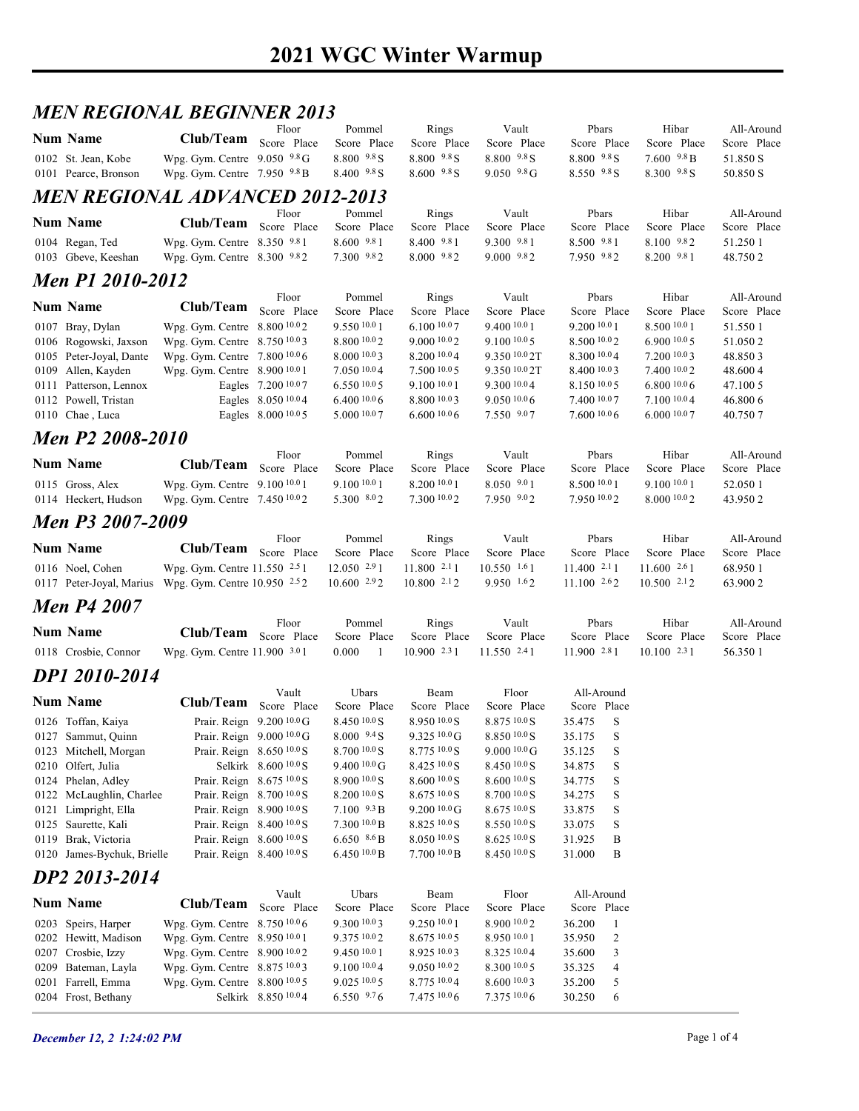## 2021 WGC Winter Warmup

#### MEN REGIONAL BEGINNER 2013

| <b>Num Name</b>                                       | <b>MEN REGIONAL BEGINNER 2013</b>                              |                                                        |                                              |                                            |                                              |                                          |                                              |                           |
|-------------------------------------------------------|----------------------------------------------------------------|--------------------------------------------------------|----------------------------------------------|--------------------------------------------|----------------------------------------------|------------------------------------------|----------------------------------------------|---------------------------|
|                                                       | Club/Team Score Place                                          | Floor                                                  | Pommel                                       | Rings                                      | Vault                                        | Pbars                                    | Hibar                                        | All-Around                |
| 0102 St. Jean, Kobe                                   | Wpg. Gym. Centre 9.050 9.8 G                                   |                                                        | Score Place<br>8.800 9.8 S                   | Score Place<br>$8.800 - 9.8$ S             | Score Place<br>$8.800\text{ }^{9.8}\text{S}$ | Score Place<br>8.800 9.8 S               | Score Place<br>$7.600\text{ }^{9.8}\text{B}$ | Score Place<br>51.850 S   |
| 0101 Pearce, Bronson                                  | Wpg. Gym. Centre $7.950$ $9.8$ B                               |                                                        | $8.400\text{ }^{9.8}\text{S}$                | $8.600\text{ }^{9.8}\text{S}$              | $9.050$ $9.8 \text{G}$                       | $8.550^{9.8}$ S                          | $8.300\text{ }^{9.8}\text{S}$                | 50.850 S                  |
| <i>MEN REGIONAL ADVANCED 2012-2013</i>                |                                                                |                                                        |                                              |                                            |                                              |                                          |                                              |                           |
| <b>Num Name</b>                                       | Club/Team Score Place                                          | Floor                                                  | Pommel<br>Score Place                        | Rings<br>Score Place                       | Vault<br>Score Place                         | Pbars<br>Score Place                     | Hibar<br>Score Place                         | All-Around<br>Score Place |
| 0104 Regan, Ted                                       | Wpg. Gym. Centre 8.350 9.81                                    |                                                        | $8.600\text{ }^{9.8}1$                       | 8.400 9.81                                 | $9.300 \t .981$                              | 8.500 9.81                               | 8.100 9.82                                   | 51.250 1                  |
| 0103 Gbeve, Keeshan                                   | Wpg. Gym. Centre 8.300 9.82                                    |                                                        | 7.300 9.82                                   | 8.000 9.82                                 | $9.000 \t .982$                              | 7.950 9.82                               | 8.200 9.81                                   | 48.750 2                  |
| Men P1 2010-2012                                      |                                                                | Floor                                                  | Pommel                                       | Rings                                      | Vault                                        | Pbars                                    | Hibar                                        | All-Around                |
| <b>Num Name</b>                                       | Club/Team Score Place                                          |                                                        | Score Place                                  | Score Place                                | Score Place                                  | Score Place                              | Score Place                                  | Score Place               |
| 0107 Bray, Dylan<br>0106 Rogowski, Jaxson             | Wpg. Gym. Centre 8.800 10.02<br>Wpg. Gym. Centre 8.750 10.03   |                                                        | 9.550 10.0 1<br>8.800 10.0 2                 | 6.100 10.07<br>9.0001002                   | 9.4001001<br>$9.100\,10.05$                  | 9.200 10.0 1<br>8.500 10.02              | 8.500 10.0 1<br>6.9001005                    | 51.550 1<br>51.050 2      |
| 0105 Peter-Joyal, Dante                               | Wpg. Gym. Centre 7.800 10.0 6                                  |                                                        | 8.000 10.0 3                                 | 8.200 10.04                                | 9.350 10.0 2T                                | 8.300 10.04                              | 7.200 10.03                                  | 48.850 3                  |
| 0109 Allen, Kayden<br>0111 Patterson, Lennox          | Wpg. Gym. Centre 8.900 10.0 1                                  | Eagles 7.200 10.07                                     | 7.050 10.04<br>6.55010.05                    | 7.500 10.0 5<br>9.100 10.0 1               | 9.350 10.0 2T<br>9.300 10.04                 | 8.400 10.03<br>8.150 10.05               | 7.400 10.02<br>6.80010.06                    | 48.600 4<br>47.100 5      |
| 0112 Powell, Tristan                                  |                                                                | Eagles 8.050 10.04                                     | 6.40010.06                                   | 8.800 10.03                                | 9.050 10.06                                  | 7.400 10.07                              | 7.100 10.04                                  | 46.800 6                  |
| 0110 Chae, Luca                                       |                                                                | Eagles 8.000 10.0 5                                    | 5.000 10.07                                  | 6.60010.06                                 | 7.550 9.07                                   | 7.6001006                                | 6.000 10.07                                  | 40.750 7                  |
| Men P2 2008-2010                                      |                                                                | Floor                                                  | Pommel                                       | Rings                                      | Vault                                        | Pbars                                    | Hibar                                        | All-Around                |
| <b>Num Name</b>                                       | Club/Team Score Place                                          |                                                        | Score Place                                  | Score Place                                | Score Place                                  | Score Place                              | Score Place                                  | Score Place               |
| 0115 Gross, Alex<br>0114 Heckert, Hudson              | Wpg. Gym. Centre 9.100 10.0 1<br>Wpg. Gym. Centre 7.450 10.02  |                                                        | 9.100 10.0 1<br>5.300 8.02                   | 8.200 10.0 1<br>7.300 10.02                | 8.050 9.01<br>7.950 9.02                     | 8.500 10.0 1<br>7.950 10.02              | 9.100 10.0 1<br>8.000 10.02                  | 52.050 1<br>43.950 2      |
| Men P3 2007-2009                                      |                                                                |                                                        |                                              |                                            |                                              |                                          |                                              |                           |
|                                                       |                                                                | Floor                                                  | Pommel                                       | Rings                                      | Vault                                        | Pbars                                    | Hibar                                        | All-Around                |
| <b>Num Name</b><br>0116 Noel, Cohen                   | Club/Team Score Place                                          |                                                        | Score Place<br>12.050 2.91                   | Score Place<br>$11.800$ $2.11$             | Score Place<br>$10.550$ $1.61$               | Score Place<br>11.400 2.11               | Score Place<br>11.600 2.61                   | Score Place               |
| 0117 Peter-Joyal, Marius Wpg. Gym. Centre 10.950 2.52 | Wpg. Gym. Centre 11.550 2.51                                   |                                                        | 10.600292                                    | 10.800 2.12                                | $9.950$ 1.62                                 | 11.100 2.62                              | $10.500$ $2.12$                              | 68.950 1<br>63.900 2      |
| <b>Men P4 2007</b>                                    |                                                                |                                                        |                                              |                                            |                                              |                                          |                                              |                           |
| <b>Num Name</b>                                       | Club/Team Score Place                                          | Floor                                                  | Pommel                                       | Rings                                      | Vault                                        | Pbars                                    | Hibar                                        | All-Around                |
| 0118 Crosbie, Connor                                  | Wpg. Gym. Centre 11.900 3.01                                   |                                                        | Score Place<br>0.000                         | Score Place<br>$10.900$ 2.3 1              | Score Place<br>11.550 2.41                   | Score Place<br>11.900 2.81               | Score Place<br>10.100 2.31                   | Score Place<br>56.350 1   |
| DP1 2010-2014                                         |                                                                |                                                        |                                              |                                            |                                              |                                          |                                              |                           |
| <b>Num Name</b>                                       | Club/Team Score Place                                          | Vault                                                  | Ubars                                        | Beam                                       | Floor                                        | All-Around                               |                                              |                           |
| 0126 Toffan, Kaiya                                    |                                                                | Prair. Reign 9.200 10.0 G                              | Score Place<br>$8.450\,10.0$ S               | Score Place<br>8.950 10.0 S                | Score Place<br>8.875 10.0 S                  | Score Place<br>35.475<br>S               |                                              |                           |
| 0127 Sammut, Quinn                                    |                                                                | Prair. Reign 9.000 10.0 G                              | $8.000 \frac{9.4}{5}$                        | $9.325\ 10.0 \text{G}$                     | 8.850 10.0 S                                 | 35.175<br>S                              |                                              |                           |
| 0123 Mitchell, Morgan<br>0210 Olfert, Julia           |                                                                | Prair. Reign 8.650 10.0 S<br>Selkirk 8.600 10.0 S      | $8.700\,10.0$ S<br>$9.40010.0 \text{ G}$     | $8.775\,^{10.0}$ S<br>8.425 10.0 S         | $9.000100 \text{ G}$<br>8.450 10.0 S         | 35.125<br>S<br>34.875<br>S               |                                              |                           |
| 0124 Phelan, Adley                                    |                                                                | Prair. Reign 8.675 10.0 S                              | 8.900 10.0 S                                 | 8.60010.0 S                                | 8.600 10.0 S                                 | 34.775<br>S                              |                                              |                           |
| 0122 McLaughlin, Charlee<br>0121 Limpright, Ella      |                                                                | Prair. Reign 8.700 10.0 S<br>Prair. Reign 8.900 10.0 S | 8.20010.0 S<br>$7.100\text{ }^{9.3}\text{B}$ | $8.67510.0$ S<br>$9.20010.0$ G             | $8.7001000$ S<br>8.675 10.0 S                | 34.275<br>S<br>33.875<br>S               |                                              |                           |
| 0125 Saurette, Kali                                   |                                                                | Prair. Reign 8.400 10.0 S                              | 7.300 10.0 B                                 | 8.825 10.0 S                               | $8.55010.0$ S                                | 33.075<br>S                              |                                              |                           |
| 0119 Brak, Victoria<br>0120 James-Bychuk, Brielle     |                                                                | Prair. Reign 8.600 10.0 S<br>Prair. Reign 8.400 10.0 S | 6.650 $8.6 B$<br>6.450 $10.0 B$              | $8.050$ $^{10.0}\mathrm{S}$<br>7.70010.0 B | $8.625\,10.0\,\mathrm{S}$<br>8.450 10.0 S    | 31.925<br>B<br>31.000<br>B               |                                              |                           |
| DP2 2013-2014                                         |                                                                |                                                        |                                              |                                            |                                              |                                          |                                              |                           |
|                                                       |                                                                | Vault                                                  | Ubars                                        | Beam                                       | Floor                                        | All-Around                               |                                              |                           |
| <b>Num Name</b>                                       | Club/Team Score Place                                          |                                                        | Score Place                                  | Score Place                                | Score Place                                  | Score Place                              |                                              |                           |
| 0203 Speirs, Harper<br>0202 Hewitt, Madison           | Wpg. Gym. Centre 8.750 10.0 6<br>Wpg. Gym. Centre 8.950 10.0 1 |                                                        | 9.300 10.03<br>9.375 10.02                   | 9.250 10.0 1<br>8.675 10.0 5               | 8.900 10.02<br>8.950 10.01                   | 36.200<br>35.950<br>2                    |                                              |                           |
| 0207 Crosbie, Izzy                                    | Wpg. Gym. Centre 8.900 10.02                                   |                                                        | 9.450 10.0 1                                 | 8.925 10.03                                | 8.325 10.04                                  | 35.600<br>3                              |                                              |                           |
| 0209 Bateman, Layla<br>0201 Farrell, Emma             | Wpg. Gym. Centre 8.875 10.03<br>Wpg. Gym. Centre 8.800 10.0 5  |                                                        | 9.10010.04<br>9.02510005                     | 9.050 10.02<br>8.775 10.04                 | 8.300 10.0 5<br>8.600 10.0 3                 | 35.325<br>$\overline{4}$<br>35.200<br>-5 |                                              |                           |
| 0204 Frost, Bethany                                   |                                                                | Selkirk 8.850 10.04                                    | 6.550 9.76                                   | 7.475 10.06                                | 7.375 10.06                                  | 30.250<br>-6                             |                                              |                           |
| December 12, 2 1:24:02 PM                             |                                                                |                                                        |                                              |                                            |                                              |                                          | Page 1 of 4                                  |                           |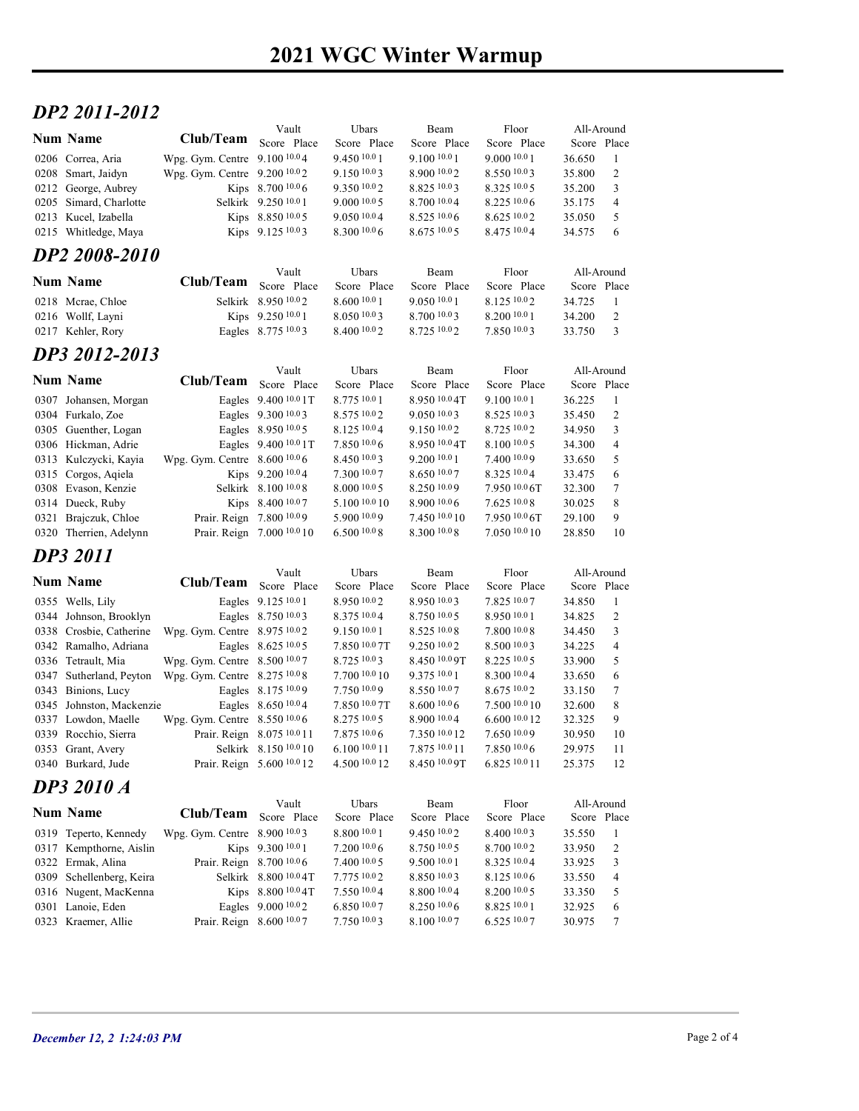# $DP2 2011-2012$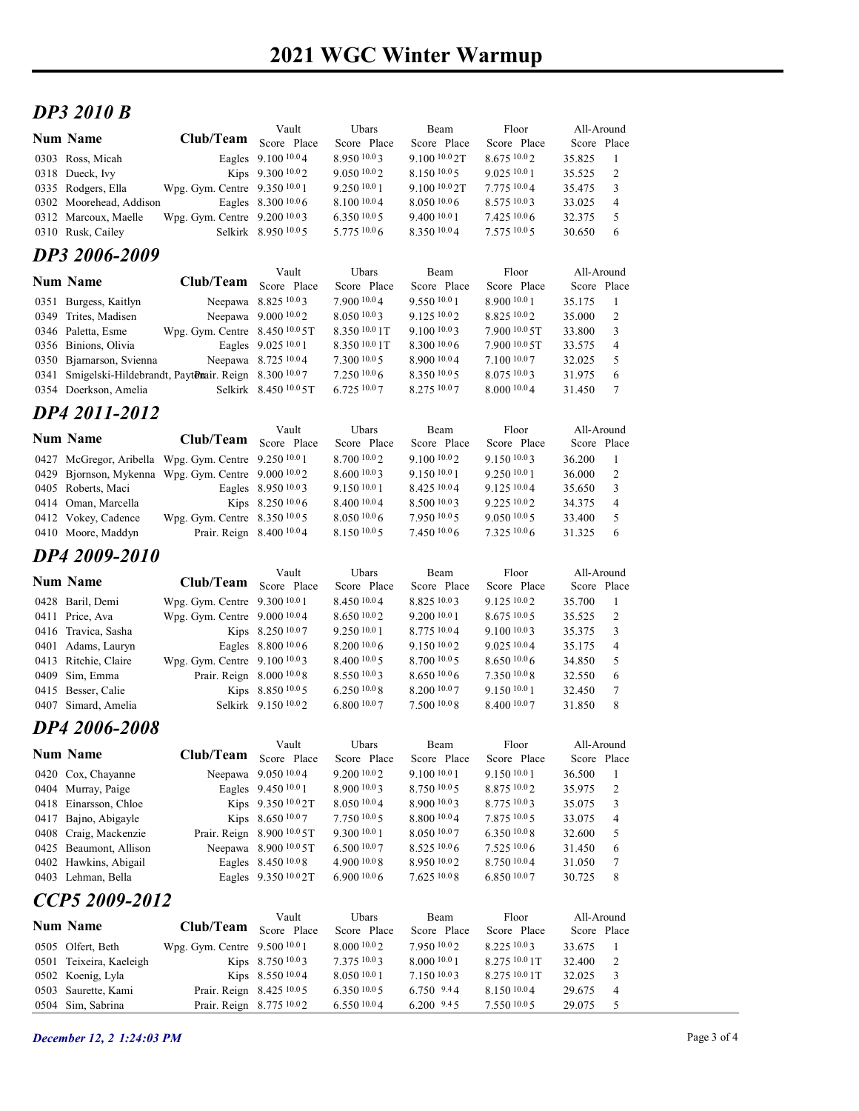## 2021 WGC Winter Warmup

#### DP3 2010 B

| <b>DP3 2010 B</b>                                                                     |                                           |                                               |                             |                                         |                               |                           |                      |  |
|---------------------------------------------------------------------------------------|-------------------------------------------|-----------------------------------------------|-----------------------------|-----------------------------------------|-------------------------------|---------------------------|----------------------|--|
| <b>Num Name</b>                                                                       | Club/Team Score Place                     | Vault                                         | Ubars<br>Score Place        | Beam<br>Score Place                     | Floor<br>Score Place          | All-Around<br>Score Place |                      |  |
| 0303 Ross, Micah                                                                      |                                           | Eagles 9.100 10.04                            | 8.950 10.03                 | 9.100 10.0 2T                           | 8.675 10.02                   | 35.825                    | -1                   |  |
| 0318 Dueck, Ivy<br>0335 Rodgers, Ella                                                 | Wpg. Gym. Centre 9.350 10.0 1             | Kips 9.300 10.02                              | 9.05010.02<br>9.25010.01    | 8.150 10.05<br>9.100 <sup>10.0</sup> 2T | 9.025 10.0 1<br>7.775 10.04   | 35.525<br>35.475          | 2<br>3               |  |
| 0302 Moorehead, Addison                                                               |                                           | Eagles 8.300 10.0 6                           | 8.100 10.0 4                | $8.050\ 10.06$                          | 8.575 10.03                   | 33.025                    | $\overline{4}$       |  |
| 0312 Marcoux, Maelle<br>0310 Rusk, Cailey                                             | Wpg. Gym. Centre 9.200 10.03              | Selkirk 8.950 10.05                           | 6.35010.05<br>5.775 10.0 6  | 9.400 10.0 1<br>8.350 10.04             | 7.425 10.06<br>7.575 10.05    | 32.375<br>30.650          | 5<br>6               |  |
| DP3 2006-2009                                                                         |                                           |                                               |                             |                                         |                               |                           |                      |  |
|                                                                                       |                                           | Vault                                         | Ubars                       | Beam                                    | Floor                         | All-Around                |                      |  |
| <b>Num Name</b>                                                                       | Club/Team                                 | Score Place                                   | Score Place                 | Score Place                             | Score Place                   | Score Place               |                      |  |
| 0351 Burgess, Kaitlyn<br>0349 Trites, Madisen                                         |                                           | Neepawa 8.825 10.03<br>Neepawa 9.000 10.02    | 7.900 10.04<br>8.0501003    | 9.550 10.01<br>9.125 10.02              | 8.900 10.0 1<br>8.825 10.02   | 35.175<br>35.000          | -1<br>2              |  |
| 0346 Paletta, Esme                                                                    | Wpg. Gym. Centre 8.450 10.0 5T            |                                               | 8.350 10.0 1T               | 9.100 10.03                             | 7.900 10.0 5T                 | 33.800                    | 3                    |  |
| 0356 Binions, Olivia<br>0350 Bjarnarson, Svienna                                      |                                           | Eagles 9.025 10.0 1<br>Neepawa 8.725 10.04    | 8.35010.01T<br>7.300 10.0 5 | 8.300 10.06<br>8.900 10.04              | 7.900 10.0 5T<br>7.100 10.07  | 33.575<br>32.025          | $\overline{4}$<br>5  |  |
| 0341 Smigelski-Hildebrandt, PaytDnair. Reign 8.300 10.07                              |                                           |                                               | $7.250\,10.06$              | 8.350 10.05                             | 8.075 10.03                   | 31.975                    | 6                    |  |
| 0354 Doerkson, Amelia                                                                 |                                           | Selkirk 8.450 10.0 5T                         | 6.725 10.07                 | 8.275 10.07                             | 8.000 10.04                   | 31.450                    | 7                    |  |
| DP4 2011-2012                                                                         |                                           |                                               |                             |                                         |                               |                           |                      |  |
| <b>Num Name</b>                                                                       | <b>Club/Team</b>                          | Vault<br>Score Place                          | Ubars<br>Score Place        | Beam<br>Score Place                     | Floor<br>Score Place          | All-Around<br>Score Place |                      |  |
| 0427 McGregor, Aribella Wpg. Gym. Centre 9.250 10.0 1                                 |                                           |                                               | 8.700 10.02                 | 9.100 10.02                             | 9.150 10.03                   | 36.200                    | -1                   |  |
| 0429 Bjornson, Mykenna Wpg. Gym. Centre 9.000 <sup>10.0</sup> 2<br>0405 Roberts, Maci |                                           | Eagles 8.950 10.03                            | 8.600 10.03<br>9.150 10.0 1 | 9.150 10.0 1<br>8.425 10.04             | 9.250 10.0 1<br>9.125 10.04   | 36.000<br>35.650          | 2<br>3               |  |
| 0414 Oman, Marcella                                                                   |                                           | Kips 8.250 10.0 6                             | 8.400 10.0 4                | 8.500 10.03                             | 9.225 10.02                   | 34.375                    | $\overline{4}$       |  |
| 0412 Vokey, Cadence                                                                   | Wpg. Gym. Centre 8.350 10.05              |                                               | 8.050 10.0 6                | 7.950 10.05                             | 9.050 10.05                   | 33.400                    | 5                    |  |
| 0410 Moore, Maddyn                                                                    | Prair. Reign 8.400 10.04                  |                                               | 8.150 10.0 5                | 7.450 10.06                             | 7.325 10.06                   | 31.325                    | 6                    |  |
| DP4 2009-2010                                                                         |                                           | Vault                                         | Ubars                       | Beam                                    | Floor                         | All-Around                |                      |  |
| <b>Num Name</b>                                                                       | Club/Team                                 | Score Place                                   | Score Place                 | Score Place                             | Score Place                   | Score Place               |                      |  |
| 0428 Baril, Demi                                                                      | Wpg. Gym. Centre 9.300 10.0 1             |                                               | 8.450 10.04                 | 8.825 10.03                             | 9.125 10.02                   | 35.700                    | -1                   |  |
| 0411 Price, Ava<br>0416 Travica, Sasha                                                | Wpg. Gym. Centre 9.000 10.04              | Kips 8.250 10.07                              | 8.650 10.02<br>9.250 10.0 1 | 9.200 10.0 1<br>8.775 10.04             | 8.675 10.0 5<br>9.100 10.03   | 35.525<br>35.375          | 2<br>3               |  |
| 0401 Adams, Lauryn                                                                    |                                           | Eagles 8.800 10.0 6                           | 8.200 10.0 6                | 9.150 10.02                             | 9.025 10.04                   | 35.175                    | $\overline{4}$       |  |
| 0413 Ritchie, Claire                                                                  | Wpg. Gym. Centre 9.100 10.03              |                                               | 8.40010005<br>8.550 10.03   | 8.700 10.0 5<br>$8.650\,10.06$          | 8.650 10.06<br>$7.350\,10.08$ | 34.850                    | 5                    |  |
| 0409 Sim, Emma<br>0415 Besser, Calie                                                  |                                           | Prair. Reign 8.000 10.0 8<br>Kips 8.850 10.05 | 6.250 10.0 8                | 8.200 10.07                             | 9.150 10.0 1                  | 32.550<br>32.450          | 6<br>7               |  |
| 0407 Simard, Amelia                                                                   |                                           | Selkirk 9.150 <sup>10.0</sup> 2               | $6.800\,10.07$              | $7.500\;^{10.08}$                       | 8.400 10.07                   | 31.850                    | 8                    |  |
| DP4 2006-2008                                                                         |                                           |                                               |                             |                                         |                               |                           |                      |  |
| <b>Num Name</b>                                                                       | Club/Team Score Place                     | Vault                                         | Ubars<br>Score Place        | Beam<br>Score Place                     | Floor<br>Score Place          | All-Around<br>Score Place |                      |  |
| 0420 Cox, Chayanne                                                                    |                                           | Neepawa 9.050 10.04                           | 9.200 10.0 2                | 9.100 10.0 1                            | 9.150 10.0 1                  | 36.500                    | -1                   |  |
| 0404 Murray, Paige                                                                    |                                           | Eagles 9.450 10.0 1                           | 8.900 10.03                 | 8.750 10.05                             | 8.875 10.02                   | 35.975                    | $\overline{2}$       |  |
| 0418 Einarsson, Chloe<br>0417 Bajno, Abigayle                                         |                                           | Kips 9.350 10.0 2T<br>Kips 8.650 10.07        | 8.050 10.04<br>7.750 10.0 5 | 8.900 10.03<br>8.800 10.04              | 8.775 10.03<br>7.875 10.05    | 35.075<br>33.075          | 3<br>$\overline{4}$  |  |
| 0408 Craig, Mackenzie                                                                 |                                           | Prair. Reign 8.900 10.0 5T                    | 9.300 10.0 1                | 8.050 10.07                             | 6.350 10.08                   | 32.600                    | 5                    |  |
| 0425 Beaumont, Allison                                                                |                                           | Neepawa 8.900 10.0 5T                         | 6.50010.07                  | 8.525 10.0 6                            | 7.525 10.06                   | 31.450                    | 6                    |  |
| 0402 Hawkins, Abigail<br>0403 Lehman, Bella                                           |                                           | Eagles 8.450 10.0 8<br>Eagles 9.350 10.0 2T   | 4.900 10.08<br>6.900 10.0 6 | 8.950 10.02<br>7.625 10.08              | 8.750 10.04<br>6.850 10.07    | 31.050<br>30.725          | $\tau$<br>8          |  |
| CCP5 2009-2012                                                                        |                                           |                                               |                             |                                         |                               |                           |                      |  |
|                                                                                       |                                           | Vault                                         | Ubars                       | Beam                                    | Floor                         | All-Around                |                      |  |
| <b>Num Name</b>                                                                       | Club/Team<br>Wpg. Gym. Centre 9.500 10.01 | Score Place                                   | Score Place<br>8.000 10.0 2 | Score Place                             | Score Place                   | Score Place               |                      |  |
| 0505 Olfert, Beth<br>0501 Teixeira, Kaeleigh                                          |                                           | Kips 8.750 10.03                              | 7.375 10.03                 | 7.950 10.02<br>8.000 10.0 1             | 8.225 10.03<br>8.275 10.0 1 T | 33.675<br>32.400          | -1<br>$\overline{c}$ |  |
| 0502 Koenig, Lyla                                                                     |                                           | Kips 8.550 10.04                              | 8.050 10.0 1                | 7.150 10.03                             | 8.275 10.0 1T                 | 32.025                    | 3                    |  |
| 0503 Saurette, Kami<br>0504 Sim, Sabrina                                              | Prair. Reign 8.775 10.02                  | Prair. Reign 8.425 10.0 5                     | 6.350 10.0 5<br>6.550 10.04 | 6.750 9.44<br>6.200 9.45                | 8.150 10.04<br>7.550 10.05    | 29.675<br>29.075          | $\overline{4}$<br>5  |  |
|                                                                                       |                                           |                                               |                             |                                         |                               |                           |                      |  |